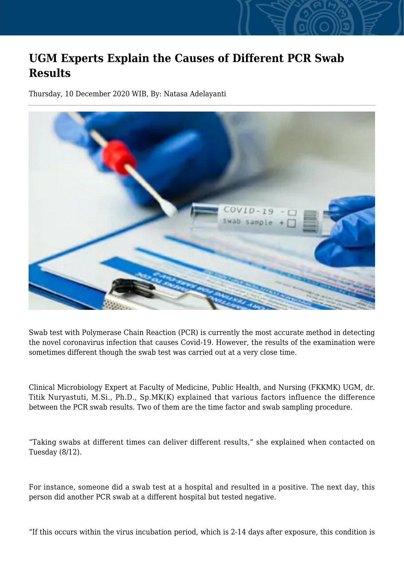## **UGM Experts Explain the Causes of Different PCR Swab Results**

Thursday, 10 December 2020 WIB, By: Natasa Adelayanti



Swab test with Polymerase Chain Reaction (PCR) is currently the most accurate method in detecting the novel coronavirus infection that causes Covid-19. However, the results of the examination were sometimes different though the swab test was carried out at a very close time.

Clinical Microbiology Expert at Faculty of Medicine, Public Health, and Nursing (FKKMK) UGM, dr. Titik Nuryastuti, M.Si., Ph.D., Sp.MK(K) explained that various factors influence the difference between the PCR swab results. Two of them are the time factor and swab sampling procedure.

"Taking swabs at different times can deliver different results," she explained when contacted on Tuesday (8/12).

For instance, someone did a swab test at a hospital and resulted in a positive. The next day, this person did another PCR swab at a different hospital but tested negative.

"If this occurs within the virus incubation period, which is 2-14 days after exposure, this condition is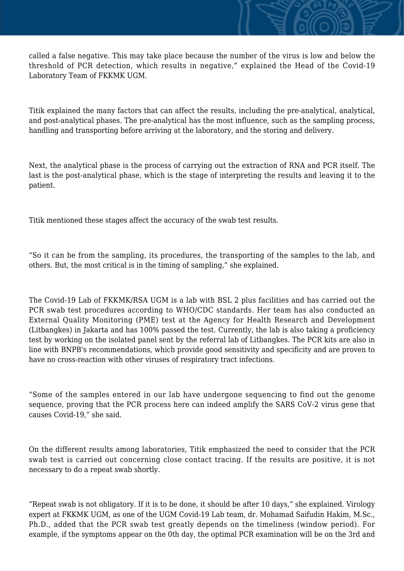called a false negative. This may take place because the number of the virus is low and below the threshold of PCR detection, which results in negative," explained the Head of the Covid-19 Laboratory Team of FKKMK UGM.

Titik explained the many factors that can affect the results, including the pre-analytical, analytical, and post-analytical phases. The pre-analytical has the most influence, such as the sampling process, handling and transporting before arriving at the laboratory, and the storing and delivery.

Next, the analytical phase is the process of carrying out the extraction of RNA and PCR itself. The last is the post-analytical phase, which is the stage of interpreting the results and leaving it to the patient.

Titik mentioned these stages affect the accuracy of the swab test results.

"So it can be from the sampling, its procedures, the transporting of the samples to the lab, and others. But, the most critical is in the timing of sampling," she explained.

The Covid-19 Lab of FKKMK/RSA UGM is a lab with BSL 2 plus facilities and has carried out the PCR swab test procedures according to WHO/CDC standards. Her team has also conducted an External Quality Monitoring (PME) test at the Agency for Health Research and Development (Litbangkes) in Jakarta and has 100% passed the test. Currently, the lab is also taking a proficiency test by working on the isolated panel sent by the referral lab of Litbangkes. The PCR kits are also in line with BNPB's recommendations, which provide good sensitivity and specificity and are proven to have no cross-reaction with other viruses of respiratory tract infections.

"Some of the samples entered in our lab have undergone sequencing to find out the genome sequence, proving that the PCR process here can indeed amplify the SARS CoV-2 virus gene that causes Covid-19," she said.

On the different results among laboratories, Titik emphasized the need to consider that the PCR swab test is carried out concerning close contact tracing. If the results are positive, it is not necessary to do a repeat swab shortly.

"Repeat swab is not obligatory. If it is to be done, it should be after 10 days," she explained. Virology expert at FKKMK UGM, as one of the UGM Covid-19 Lab team, dr. Mohamad Saifudin Hakim, M.Sc., Ph.D., added that the PCR swab test greatly depends on the timeliness (window period). For example, if the symptoms appear on the 0th day, the optimal PCR examination will be on the 3rd and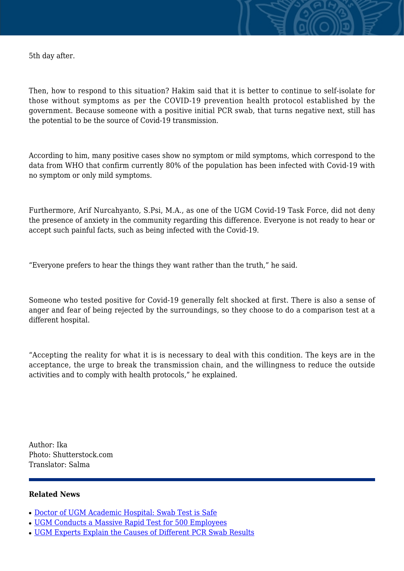5th day after.

Then, how to respond to this situation? Hakim said that it is better to continue to self-isolate for those without symptoms as per the COVID-19 prevention health protocol established by the government. Because someone with a positive initial PCR swab, that turns negative next, still has the potential to be the source of Covid-19 transmission.

According to him, many positive cases show no symptom or mild symptoms, which correspond to the data from WHO that confirm currently 80% of the population has been infected with Covid-19 with no symptom or only mild symptoms.

Furthermore, Arif Nurcahyanto, S.Psi, M.A., as one of the UGM Covid-19 Task Force, did not deny the presence of anxiety in the community regarding this difference. Everyone is not ready to hear or accept such painful facts, such as being infected with the Covid-19.

"Everyone prefers to hear the things they want rather than the truth," he said.

Someone who tested positive for Covid-19 generally felt shocked at first. There is also a sense of anger and fear of being rejected by the surroundings, so they choose to do a comparison test at a different hospital.

"Accepting the reality for what it is is necessary to deal with this condition. The keys are in the acceptance, the urge to break the transmission chain, and the willingness to reduce the outside activities and to comply with health protocols," he explained.

Author: Ika Photo: Shutterstock.com Translator: Salma

## **Related News**

- [Doctor of UGM Academic Hospital: Swab Test is Safe](http://ugm.ac.id/www.ugm.ac.id//en/news/20483-ugm-experts-explain-the-causes-of-different-pcr-swab-results)
- [UGM Conducts a Massive Rapid Test for 500 Employees](http://ugm.ac.id/www.ugm.ac.id//en/news/19838-ugm-increases-the-intensity-of-health-promotion-to-prevent-covid-19-transmission)
- [UGM Experts Explain the Causes of Different PCR Swab Results](http://ugm.ac.id/www.ugm.ac.id//en/news/19704-three-hospitals-in-diy-use-ugm-swab-sampling-booth)